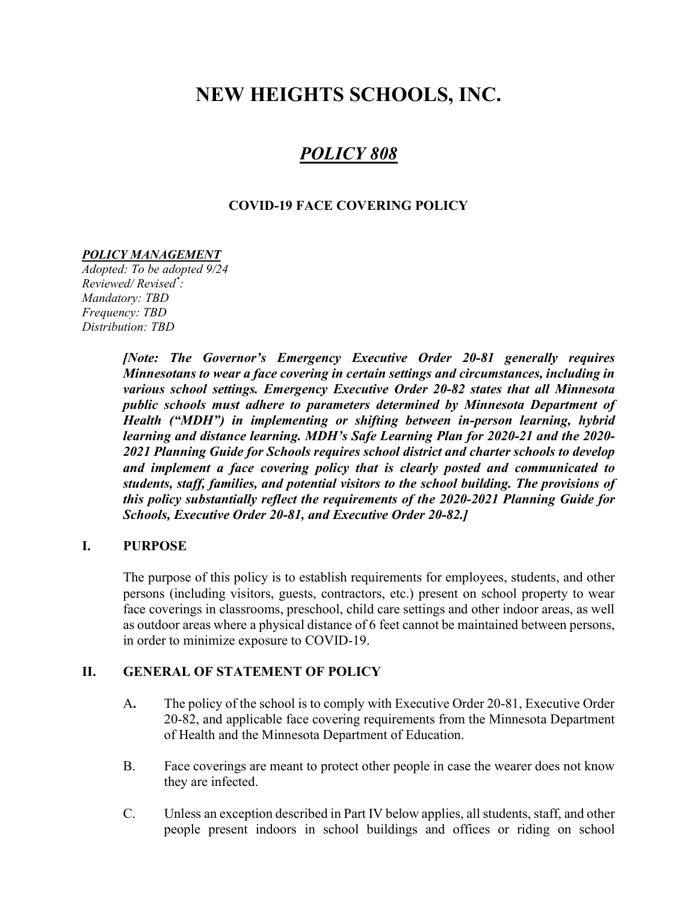# NEW HEIGHTS SCHOOLS, INC.

## POLICY 808

#### COVID-19 FACE COVERING POLICY

#### POLICY MANAGEMENT

Adopted: To be adopted 9/24 Reviewed/ Revised\* : Mandatory: TBD Frequency: TBD Distribution: TBD

> [Note: The Governor's Emergency Executive Order 20-81 generally requires Minnesotans to wear a face covering in certain settings and circumstances, including in various school settings. Emergency Executive Order 20-82 states that all Minnesota public schools must adhere to parameters determined by Minnesota Department of Health ("MDH") in implementing or shifting between in-person learning, hybrid learning and distance learning. MDH's Safe Learning Plan for 2020-21 and the 2020- 2021 Planning Guide for Schools requires school district and charter schools to develop and implement a face covering policy that is clearly posted and communicated to students, staff, families, and potential visitors to the school building. The provisions of this policy substantially reflect the requirements of the 2020-2021 Planning Guide for Schools, Executive Order 20-81, and Executive Order 20-82.]

#### I. PURPOSE

The purpose of this policy is to establish requirements for employees, students, and other persons (including visitors, guests, contractors, etc.) present on school property to wear face coverings in classrooms, preschool, child care settings and other indoor areas, as well as outdoor areas where a physical distance of 6 feet cannot be maintained between persons, in order to minimize exposure to COVID-19.

#### II. GENERAL OF STATEMENT OF POLICY

- A. The policy of the school is to comply with Executive Order 20-81, Executive Order 20-82, and applicable face covering requirements from the Minnesota Department of Health and the Minnesota Department of Education.
- B. Face coverings are meant to protect other people in case the wearer does not know they are infected.
- C. Unless an exception described in Part IV below applies, all students, staff, and other people present indoors in school buildings and offices or riding on school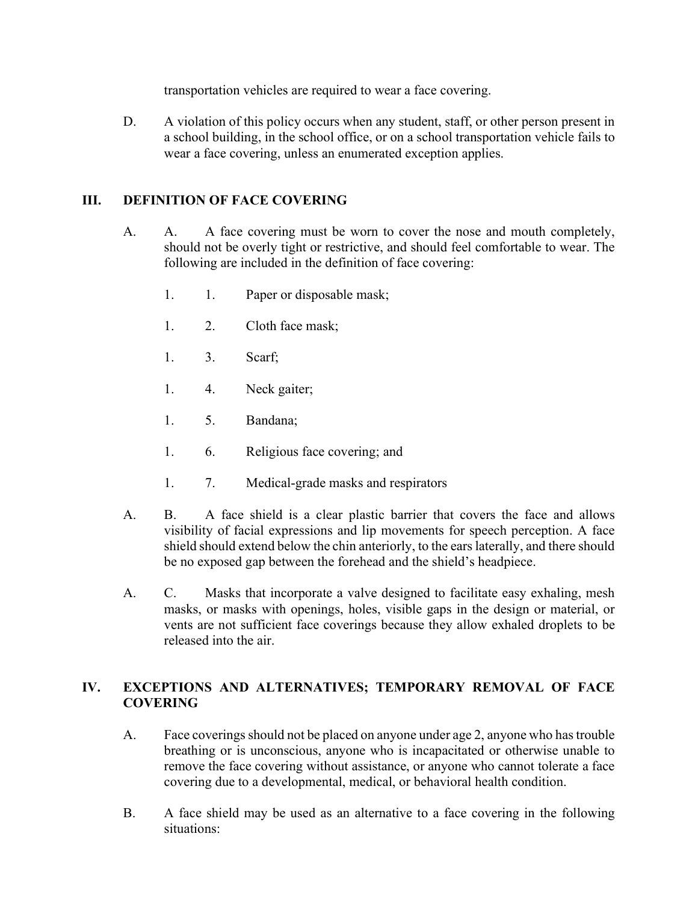transportation vehicles are required to wear a face covering.

 D. A violation of this policy occurs when any student, staff, or other person present in a school building, in the school office, or on a school transportation vehicle fails to wear a face covering, unless an enumerated exception applies.

#### III. DEFINITION OF FACE COVERING

- A. A. A face covering must be worn to cover the nose and mouth completely, should not be overly tight or restrictive, and should feel comfortable to wear. The following are included in the definition of face covering:
	- 1. 1. Paper or disposable mask;
	- 1. 2. Cloth face mask;
	- 1. 3. Scarf;
	- 1. 4. Neck gaiter;
	- 1. 5. Bandana;
	- 1. 6. Religious face covering; and
	- 1. 7. Medical-grade masks and respirators
- A. B. A face shield is a clear plastic barrier that covers the face and allows visibility of facial expressions and lip movements for speech perception. A face shield should extend below the chin anteriorly, to the ears laterally, and there should be no exposed gap between the forehead and the shield's headpiece.
- A. C. Masks that incorporate a valve designed to facilitate easy exhaling, mesh masks, or masks with openings, holes, visible gaps in the design or material, or vents are not sufficient face coverings because they allow exhaled droplets to be released into the air.

#### IV. EXCEPTIONS AND ALTERNATIVES; TEMPORARY REMOVAL OF FACE **COVERING**

- A. Face coverings should not be placed on anyone under age 2, anyone who has trouble breathing or is unconscious, anyone who is incapacitated or otherwise unable to remove the face covering without assistance, or anyone who cannot tolerate a face covering due to a developmental, medical, or behavioral health condition.
- B. A face shield may be used as an alternative to a face covering in the following situations: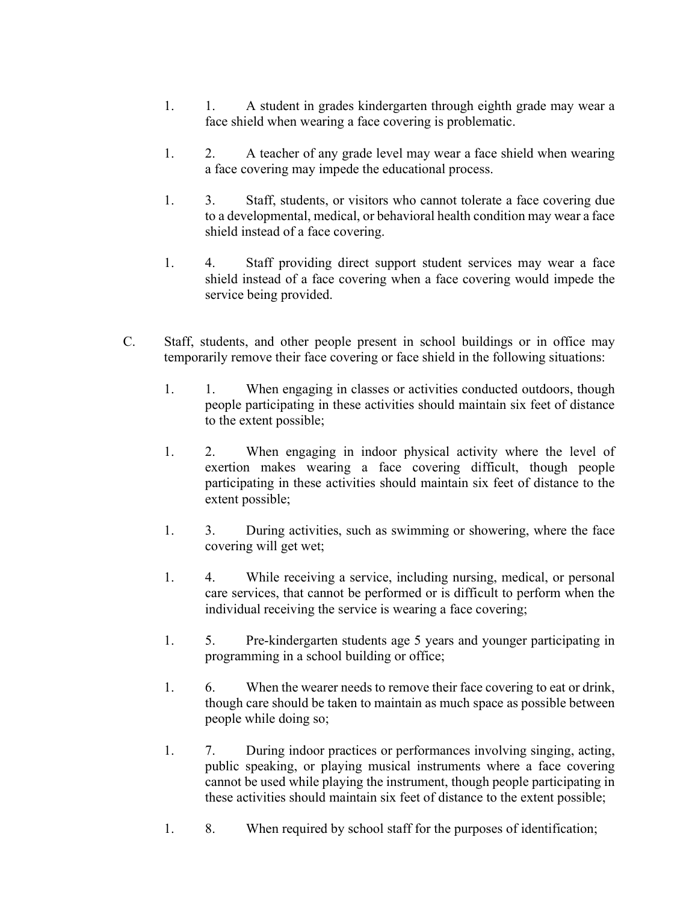- 1. 1. A student in grades kindergarten through eighth grade may wear a face shield when wearing a face covering is problematic.
- 1. 2. A teacher of any grade level may wear a face shield when wearing a face covering may impede the educational process.
- 1. 3. Staff, students, or visitors who cannot tolerate a face covering due to a developmental, medical, or behavioral health condition may wear a face shield instead of a face covering.
- 1. 4. Staff providing direct support student services may wear a face shield instead of a face covering when a face covering would impede the service being provided.
- C. Staff, students, and other people present in school buildings or in office may temporarily remove their face covering or face shield in the following situations:
	- 1. 1. When engaging in classes or activities conducted outdoors, though people participating in these activities should maintain six feet of distance to the extent possible;
	- 1. 2. When engaging in indoor physical activity where the level of exertion makes wearing a face covering difficult, though people participating in these activities should maintain six feet of distance to the extent possible;
	- 1. 3. During activities, such as swimming or showering, where the face covering will get wet;
	- 1. 4. While receiving a service, including nursing, medical, or personal care services, that cannot be performed or is difficult to perform when the individual receiving the service is wearing a face covering;
	- 1. 5. Pre-kindergarten students age 5 years and younger participating in programming in a school building or office;
	- 1. 6. When the wearer needs to remove their face covering to eat or drink, though care should be taken to maintain as much space as possible between people while doing so;
	- 1. 7. During indoor practices or performances involving singing, acting, public speaking, or playing musical instruments where a face covering cannot be used while playing the instrument, though people participating in these activities should maintain six feet of distance to the extent possible;
	- 1. 8. When required by school staff for the purposes of identification;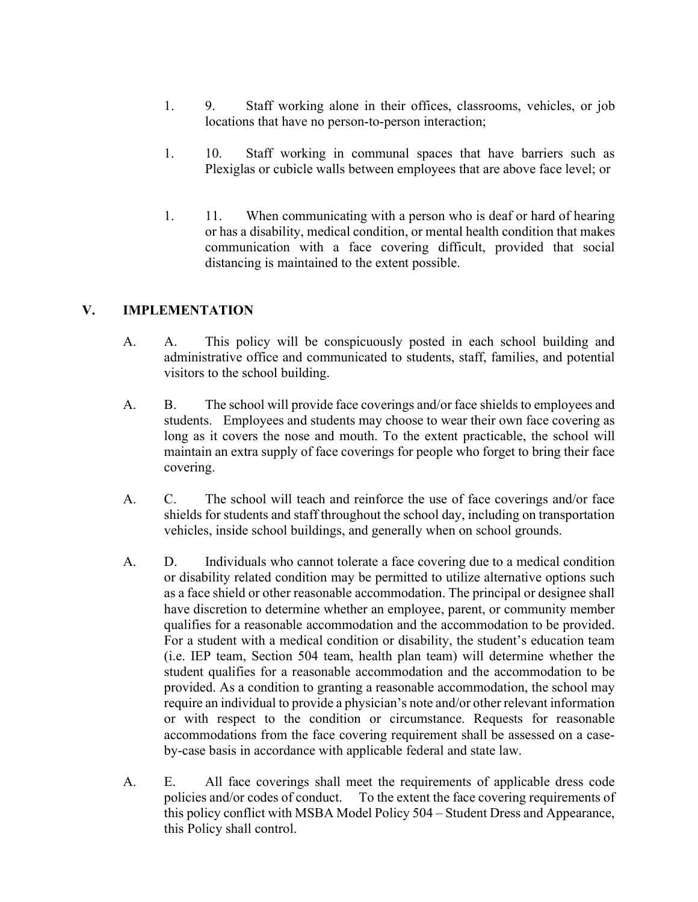- 1. 9. Staff working alone in their offices, classrooms, vehicles, or job locations that have no person-to-person interaction;
- 1. 10. Staff working in communal spaces that have barriers such as Plexiglas or cubicle walls between employees that are above face level; or
- 1. 11. When communicating with a person who is deaf or hard of hearing or has a disability, medical condition, or mental health condition that makes communication with a face covering difficult, provided that social distancing is maintained to the extent possible.

### V. IMPLEMENTATION

- A. A. This policy will be conspicuously posted in each school building and administrative office and communicated to students, staff, families, and potential visitors to the school building.
- A. B. The school will provide face coverings and/or face shields to employees and students. Employees and students may choose to wear their own face covering as long as it covers the nose and mouth. To the extent practicable, the school will maintain an extra supply of face coverings for people who forget to bring their face covering.
- A. C. The school will teach and reinforce the use of face coverings and/or face shields for students and staff throughout the school day, including on transportation vehicles, inside school buildings, and generally when on school grounds.
- A. D. Individuals who cannot tolerate a face covering due to a medical condition or disability related condition may be permitted to utilize alternative options such as a face shield or other reasonable accommodation. The principal or designee shall have discretion to determine whether an employee, parent, or community member qualifies for a reasonable accommodation and the accommodation to be provided. For a student with a medical condition or disability, the student's education team (i.e. IEP team, Section 504 team, health plan team) will determine whether the student qualifies for a reasonable accommodation and the accommodation to be provided. As a condition to granting a reasonable accommodation, the school may require an individual to provide a physician's note and/or other relevant information or with respect to the condition or circumstance. Requests for reasonable accommodations from the face covering requirement shall be assessed on a caseby-case basis in accordance with applicable federal and state law.
- A. E. All face coverings shall meet the requirements of applicable dress code policies and/or codes of conduct. To the extent the face covering requirements of this policy conflict with MSBA Model Policy 504 – Student Dress and Appearance, this Policy shall control.